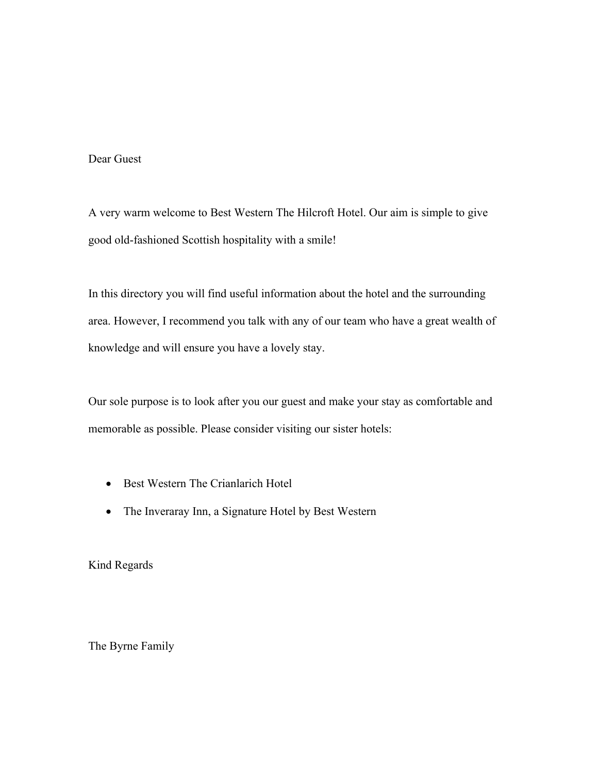# Dear Guest

A very warm welcome to Best Western The Hilcroft Hotel. Our aim is simple to give good old-fashioned Scottish hospitality with a smile!

In this directory you will find useful information about the hotel and the surrounding area. However, I recommend you talk with any of our team who have a great wealth of knowledge and will ensure you have a lovely stay.

Our sole purpose is to look after you our guest and make your stay as comfortable and memorable as possible. Please consider visiting our sister hotels:

- Best Western The Crianlarich Hotel
- The Inveraray Inn, a Signature Hotel by Best Western

Kind Regards

The Byrne Family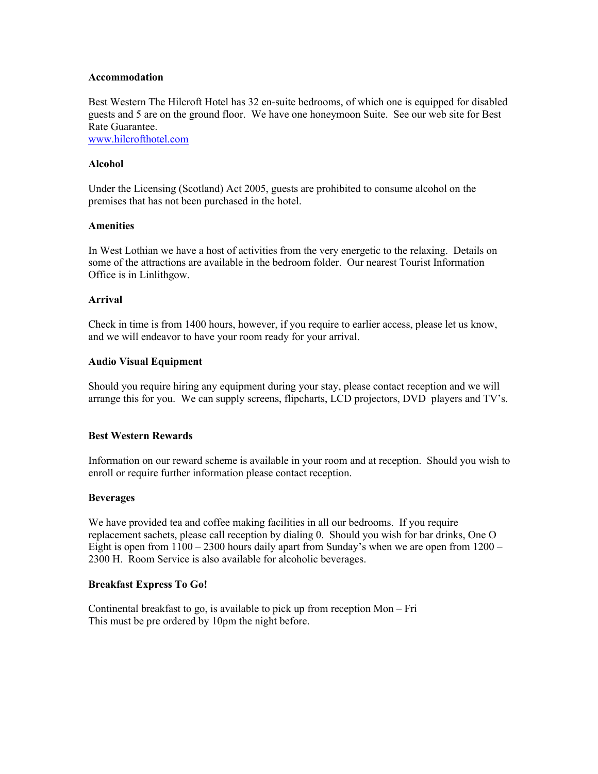### **Accommodation**

Best Western The Hilcroft Hotel has 32 en-suite bedrooms, of which one is equipped for disabled guests and 5 are on the ground floor. We have one honeymoon Suite. See our web site for Best Rate Guarantee.

www.hilcrofthotel.com

## **Alcohol**

Under the Licensing (Scotland) Act 2005, guests are prohibited to consume alcohol on the premises that has not been purchased in the hotel.

### **Amenities**

In West Lothian we have a host of activities from the very energetic to the relaxing. Details on some of the attractions are available in the bedroom folder. Our nearest Tourist Information Office is in Linlithgow.

### **Arrival**

Check in time is from 1400 hours, however, if you require to earlier access, please let us know, and we will endeavor to have your room ready for your arrival.

### **Audio Visual Equipment**

Should you require hiring any equipment during your stay, please contact reception and we will arrange this for you. We can supply screens, flipcharts, LCD projectors, DVD players and TV's.

## **Best Western Rewards**

Information on our reward scheme is available in your room and at reception. Should you wish to enroll or require further information please contact reception.

#### **Beverages**

We have provided tea and coffee making facilities in all our bedrooms. If you require replacement sachets, please call reception by dialing 0. Should you wish for bar drinks, One O Eight is open from  $1100 - 2300$  hours daily apart from Sunday's when we are open from  $1200 -$ 2300 H. Room Service is also available for alcoholic beverages.

#### **Breakfast Express To Go!**

Continental breakfast to go, is available to pick up from reception Mon – Fri This must be pre ordered by 10pm the night before.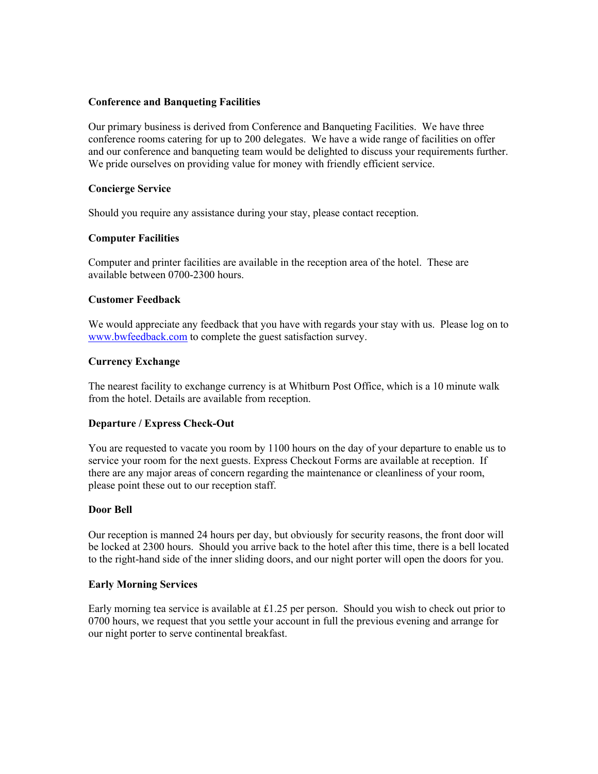## **Conference and Banqueting Facilities**

Our primary business is derived from Conference and Banqueting Facilities. We have three conference rooms catering for up to 200 delegates. We have a wide range of facilities on offer and our conference and banqueting team would be delighted to discuss your requirements further. We pride ourselves on providing value for money with friendly efficient service.

### **Concierge Service**

Should you require any assistance during your stay, please contact reception.

### **Computer Facilities**

Computer and printer facilities are available in the reception area of the hotel. These are available between 0700-2300 hours.

### **Customer Feedback**

We would appreciate any feedback that you have with regards your stay with us. Please log on to www.bwfeedback.com to complete the guest satisfaction survey.

### **Currency Exchange**

The nearest facility to exchange currency is at Whitburn Post Office, which is a 10 minute walk from the hotel. Details are available from reception.

#### **Departure / Express Check-Out**

You are requested to vacate you room by 1100 hours on the day of your departure to enable us to service your room for the next guests. Express Checkout Forms are available at reception. If there are any major areas of concern regarding the maintenance or cleanliness of your room, please point these out to our reception staff.

#### **Door Bell**

Our reception is manned 24 hours per day, but obviously for security reasons, the front door will be locked at 2300 hours. Should you arrive back to the hotel after this time, there is a bell located to the right-hand side of the inner sliding doors, and our night porter will open the doors for you.

#### **Early Morning Services**

Early morning tea service is available at £1.25 per person. Should you wish to check out prior to 0700 hours, we request that you settle your account in full the previous evening and arrange for our night porter to serve continental breakfast.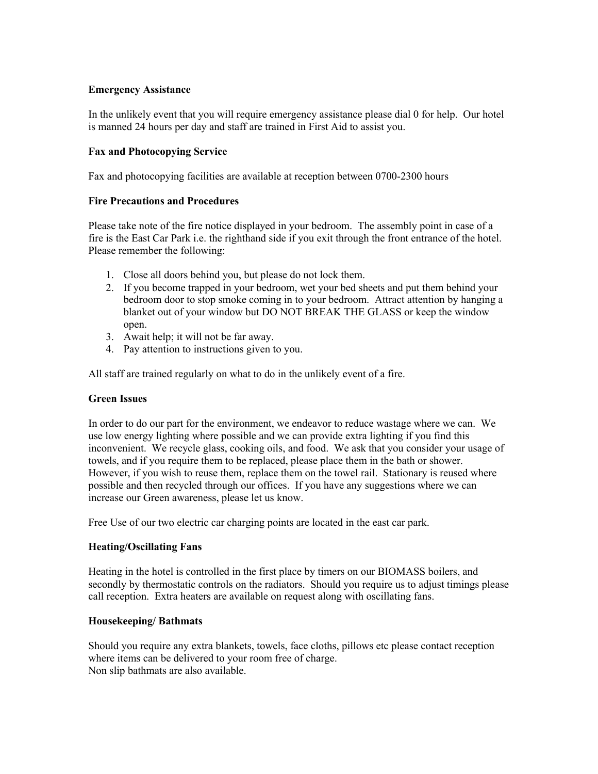# **Emergency Assistance**

In the unlikely event that you will require emergency assistance please dial 0 for help. Our hotel is manned 24 hours per day and staff are trained in First Aid to assist you.

# **Fax and Photocopying Service**

Fax and photocopying facilities are available at reception between 0700-2300 hours

# **Fire Precautions and Procedures**

Please take note of the fire notice displayed in your bedroom. The assembly point in case of a fire is the East Car Park i.e. the righthand side if you exit through the front entrance of the hotel. Please remember the following:

- 1. Close all doors behind you, but please do not lock them.
- 2. If you become trapped in your bedroom, wet your bed sheets and put them behind your bedroom door to stop smoke coming in to your bedroom. Attract attention by hanging a blanket out of your window but DO NOT BREAK THE GLASS or keep the window open.
- 3. Await help; it will not be far away.
- 4. Pay attention to instructions given to you.

All staff are trained regularly on what to do in the unlikely event of a fire.

## **Green Issues**

In order to do our part for the environment, we endeavor to reduce wastage where we can. We use low energy lighting where possible and we can provide extra lighting if you find this inconvenient. We recycle glass, cooking oils, and food. We ask that you consider your usage of towels, and if you require them to be replaced, please place them in the bath or shower. However, if you wish to reuse them, replace them on the towel rail. Stationary is reused where possible and then recycled through our offices. If you have any suggestions where we can increase our Green awareness, please let us know.

Free Use of our two electric car charging points are located in the east car park.

## **Heating/Oscillating Fans**

Heating in the hotel is controlled in the first place by timers on our BIOMASS boilers, and secondly by thermostatic controls on the radiators. Should you require us to adjust timings please call reception. Extra heaters are available on request along with oscillating fans.

## **Housekeeping/ Bathmats**

Should you require any extra blankets, towels, face cloths, pillows etc please contact reception where items can be delivered to your room free of charge. Non slip bathmats are also available.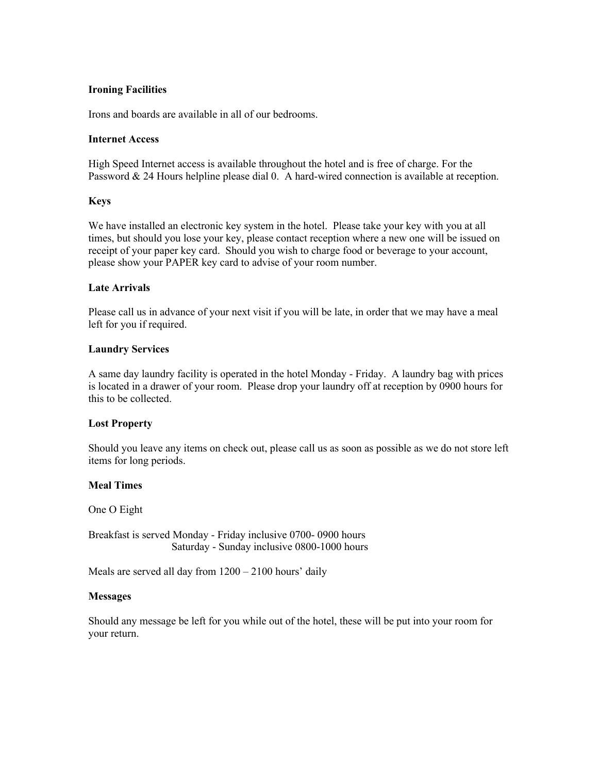## **Ironing Facilities**

Irons and boards are available in all of our bedrooms.

### **Internet Access**

High Speed Internet access is available throughout the hotel and is free of charge. For the Password & 24 Hours helpline please dial 0. A hard-wired connection is available at reception.

### **Keys**

We have installed an electronic key system in the hotel. Please take your key with you at all times, but should you lose your key, please contact reception where a new one will be issued on receipt of your paper key card. Should you wish to charge food or beverage to your account, please show your PAPER key card to advise of your room number.

### **Late Arrivals**

Please call us in advance of your next visit if you will be late, in order that we may have a meal left for you if required.

### **Laundry Services**

A same day laundry facility is operated in the hotel Monday - Friday. A laundry bag with prices is located in a drawer of your room. Please drop your laundry off at reception by 0900 hours for this to be collected.

#### **Lost Property**

Should you leave any items on check out, please call us as soon as possible as we do not store left items for long periods.

#### **Meal Times**

One O Eight

Breakfast is served Monday - Friday inclusive 0700- 0900 hours Saturday - Sunday inclusive 0800-1000 hours

Meals are served all day from  $1200 - 2100$  hours' daily

#### **Messages**

Should any message be left for you while out of the hotel, these will be put into your room for your return.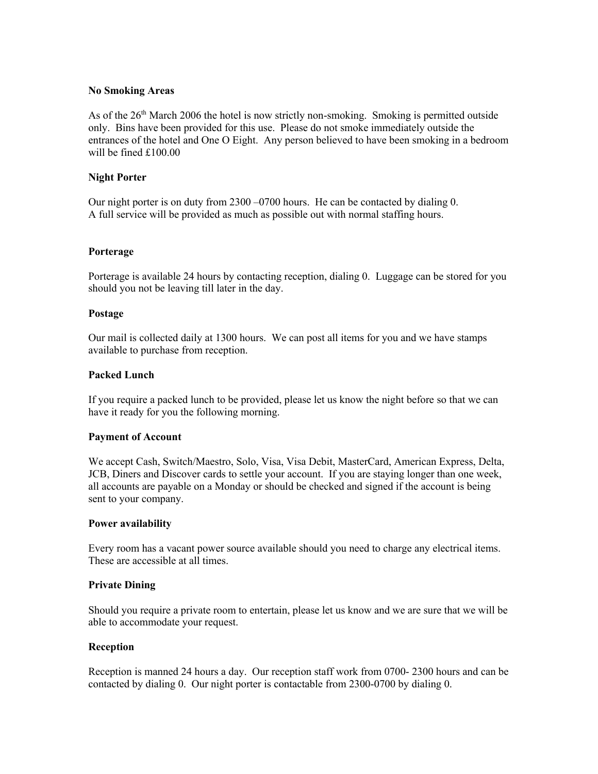## **No Smoking Areas**

As of the  $26<sup>th</sup>$  March 2006 the hotel is now strictly non-smoking. Smoking is permitted outside only. Bins have been provided for this use. Please do not smoke immediately outside the entrances of the hotel and One O Eight. Any person believed to have been smoking in a bedroom will be fined £100.00

## **Night Porter**

Our night porter is on duty from 2300 –0700 hours. He can be contacted by dialing 0. A full service will be provided as much as possible out with normal staffing hours.

#### **Porterage**

Porterage is available 24 hours by contacting reception, dialing 0. Luggage can be stored for you should you not be leaving till later in the day.

### **Postage**

Our mail is collected daily at 1300 hours. We can post all items for you and we have stamps available to purchase from reception.

#### **Packed Lunch**

If you require a packed lunch to be provided, please let us know the night before so that we can have it ready for you the following morning.

#### **Payment of Account**

We accept Cash, Switch/Maestro, Solo, Visa, Visa Debit, MasterCard, American Express, Delta, JCB, Diners and Discover cards to settle your account. If you are staying longer than one week, all accounts are payable on a Monday or should be checked and signed if the account is being sent to your company.

#### **Power availability**

Every room has a vacant power source available should you need to charge any electrical items. These are accessible at all times.

#### **Private Dining**

Should you require a private room to entertain, please let us know and we are sure that we will be able to accommodate your request.

#### **Reception**

Reception is manned 24 hours a day. Our reception staff work from 0700- 2300 hours and can be contacted by dialing 0. Our night porter is contactable from 2300-0700 by dialing 0.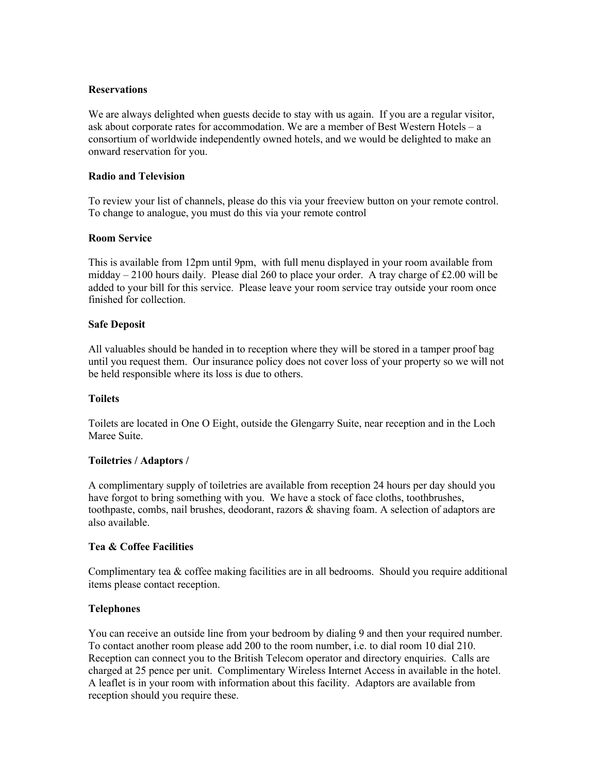## **Reservations**

We are always delighted when guests decide to stay with us again. If you are a regular visitor, ask about corporate rates for accommodation. We are a member of Best Western Hotels – a consortium of worldwide independently owned hotels, and we would be delighted to make an onward reservation for you.

## **Radio and Television**

To review your list of channels, please do this via your freeview button on your remote control. To change to analogue, you must do this via your remote control

# **Room Service**

This is available from 12pm until 9pm, with full menu displayed in your room available from midday  $-2100$  hours daily. Please dial 260 to place your order. A tray charge of £2.00 will be added to your bill for this service. Please leave your room service tray outside your room once finished for collection.

# **Safe Deposit**

All valuables should be handed in to reception where they will be stored in a tamper proof bag until you request them. Our insurance policy does not cover loss of your property so we will not be held responsible where its loss is due to others.

## **Toilets**

Toilets are located in One O Eight, outside the Glengarry Suite, near reception and in the Loch Maree Suite.

# **Toiletries / Adaptors /**

A complimentary supply of toiletries are available from reception 24 hours per day should you have forgot to bring something with you. We have a stock of face cloths, toothbrushes, toothpaste, combs, nail brushes, deodorant, razors & shaving foam. A selection of adaptors are also available.

## **Tea & Coffee Facilities**

Complimentary tea & coffee making facilities are in all bedrooms. Should you require additional items please contact reception.

# **Telephones**

You can receive an outside line from your bedroom by dialing 9 and then your required number. To contact another room please add 200 to the room number, i.e. to dial room 10 dial 210. Reception can connect you to the British Telecom operator and directory enquiries. Calls are charged at 25 pence per unit. Complimentary Wireless Internet Access in available in the hotel. A leaflet is in your room with information about this facility. Adaptors are available from reception should you require these.